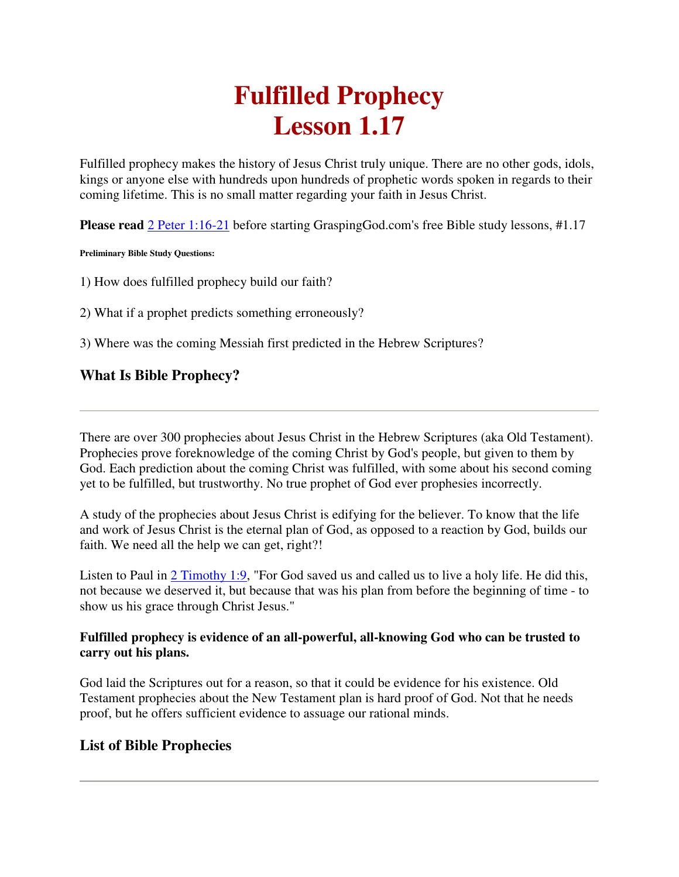# **Fulfilled Prophecy Lesson 1.17**

Fulfilled prophecy makes the history of Jesus Christ truly unique. There are no other gods, idols, kings or anyone else with hundreds upon hundreds of prophetic words spoken in regards to their coming lifetime. This is no small matter regarding your faith in Jesus Christ.

**Please read** 2 Peter 1:16-21 before starting GraspingGod.com's free Bible study lessons, #1.17

#### **Preliminary Bible Study Questions:**

1) How does fulfilled prophecy build our faith?

2) What if a prophet predicts something erroneously?

3) Where was the coming Messiah first predicted in the Hebrew Scriptures?

# **What Is Bible Prophecy?**

There are over 300 prophecies about Jesus Christ in the Hebrew Scriptures (aka Old Testament). Prophecies prove foreknowledge of the coming Christ by God's people, but given to them by God. Each prediction about the coming Christ was fulfilled, with some about his second coming yet to be fulfilled, but trustworthy. No true prophet of God ever prophesies incorrectly.

A study of the prophecies about Jesus Christ is edifying for the believer. To know that the life and work of Jesus Christ is the eternal plan of God, as opposed to a reaction by God, builds our faith. We need all the help we can get, right?!

Listen to Paul in 2 Timothy 1:9, "For God saved us and called us to live a holy life. He did this, not because we deserved it, but because that was his plan from before the beginning of time - to show us his grace through Christ Jesus."

# **Fulfilled prophecy is evidence of an all-powerful, all-knowing God who can be trusted to carry out his plans.**

God laid the Scriptures out for a reason, so that it could be evidence for his existence. Old Testament prophecies about the New Testament plan is hard proof of God. Not that he needs proof, but he offers sufficient evidence to assuage our rational minds.

# **List of Bible Prophecies**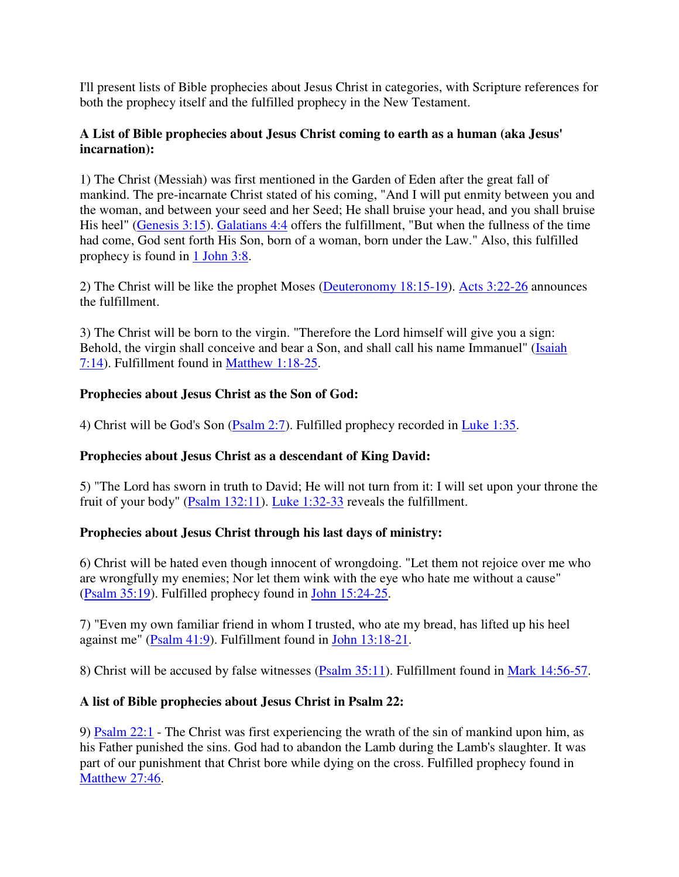I'll present lists of Bible prophecies about Jesus Christ in categories, with Scripture references for both the prophecy itself and the fulfilled prophecy in the New Testament.

# **A List of Bible prophecies about Jesus Christ coming to earth as a human (aka Jesus' incarnation):**

1) The Christ (Messiah) was first mentioned in the Garden of Eden after the great fall of mankind. The pre-incarnate Christ stated of his coming, "And I will put enmity between you and the woman, and between your seed and her Seed; He shall bruise your head, and you shall bruise His heel" (Genesis 3:15). Galatians 4:4 offers the fulfillment, "But when the fullness of the time had come, God sent forth His Son, born of a woman, born under the Law." Also, this fulfilled prophecy is found in 1 John 3:8.

2) The Christ will be like the prophet Moses (Deuteronomy 18:15-19). Acts 3:22-26 announces the fulfillment.

3) The Christ will be born to the virgin. "Therefore the Lord himself will give you a sign: Behold, the virgin shall conceive and bear a Son, and shall call his name Immanuel" (Isaiah 7:14). Fulfillment found in Matthew 1:18-25.

# **Prophecies about Jesus Christ as the Son of God:**

4) Christ will be God's Son (Psalm 2:7). Fulfilled prophecy recorded in Luke 1:35.

# **Prophecies about Jesus Christ as a descendant of King David:**

5) "The Lord has sworn in truth to David; He will not turn from it: I will set upon your throne the fruit of your body" (Psalm 132:11). Luke 1:32-33 reveals the fulfillment.

# **Prophecies about Jesus Christ through his last days of ministry:**

6) Christ will be hated even though innocent of wrongdoing. "Let them not rejoice over me who are wrongfully my enemies; Nor let them wink with the eye who hate me without a cause" (Psalm 35:19). Fulfilled prophecy found in John 15:24-25.

7) "Even my own familiar friend in whom I trusted, who ate my bread, has lifted up his heel against me" (Psalm 41:9). Fulfillment found in John 13:18-21.

8) Christ will be accused by false witnesses (Psalm 35:11). Fulfillment found in Mark 14:56-57.

# **A list of Bible prophecies about Jesus Christ in Psalm 22:**

9) Psalm 22:1 - The Christ was first experiencing the wrath of the sin of mankind upon him, as his Father punished the sins. God had to abandon the Lamb during the Lamb's slaughter. It was part of our punishment that Christ bore while dying on the cross. Fulfilled prophecy found in Matthew 27:46.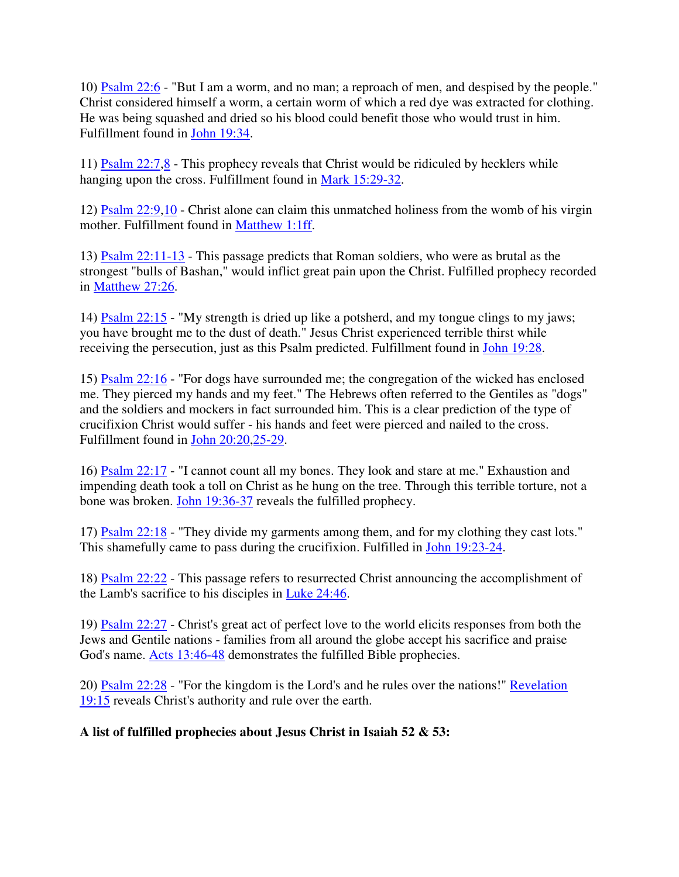10) Psalm 22:6 - "But I am a worm, and no man; a reproach of men, and despised by the people." Christ considered himself a worm, a certain worm of which a red dye was extracted for clothing. He was being squashed and dried so his blood could benefit those who would trust in him. Fulfillment found in John 19:34.

11) Psalm 22:7,8 - This prophecy reveals that Christ would be ridiculed by hecklers while hanging upon the cross. Fulfillment found in Mark 15:29-32.

12) Psalm 22:9,10 - Christ alone can claim this unmatched holiness from the womb of his virgin mother. Fulfillment found in Matthew 1:1ff.

13) Psalm 22:11-13 - This passage predicts that Roman soldiers, who were as brutal as the strongest "bulls of Bashan," would inflict great pain upon the Christ. Fulfilled prophecy recorded in Matthew 27:26.

14) Psalm 22:15 - "My strength is dried up like a potsherd, and my tongue clings to my jaws; you have brought me to the dust of death." Jesus Christ experienced terrible thirst while receiving the persecution, just as this Psalm predicted. Fulfillment found in John 19:28.

15) Psalm 22:16 - "For dogs have surrounded me; the congregation of the wicked has enclosed me. They pierced my hands and my feet." The Hebrews often referred to the Gentiles as "dogs" and the soldiers and mockers in fact surrounded him. This is a clear prediction of the type of crucifixion Christ would suffer - his hands and feet were pierced and nailed to the cross. Fulfillment found in John 20:20,25-29.

16) Psalm 22:17 - "I cannot count all my bones. They look and stare at me." Exhaustion and impending death took a toll on Christ as he hung on the tree. Through this terrible torture, not a bone was broken. John 19:36-37 reveals the fulfilled prophecy.

17) Psalm 22:18 - "They divide my garments among them, and for my clothing they cast lots." This shamefully came to pass during the crucifixion. Fulfilled in John 19:23-24.

18) Psalm 22:22 - This passage refers to resurrected Christ announcing the accomplishment of the Lamb's sacrifice to his disciples in Luke 24:46.

19) Psalm 22:27 - Christ's great act of perfect love to the world elicits responses from both the Jews and Gentile nations - families from all around the globe accept his sacrifice and praise God's name. Acts 13:46-48 demonstrates the fulfilled Bible prophecies.

20) Psalm 22:28 - "For the kingdom is the Lord's and he rules over the nations!" Revelation 19:15 reveals Christ's authority and rule over the earth.

# **A list of fulfilled prophecies about Jesus Christ in Isaiah 52 & 53:**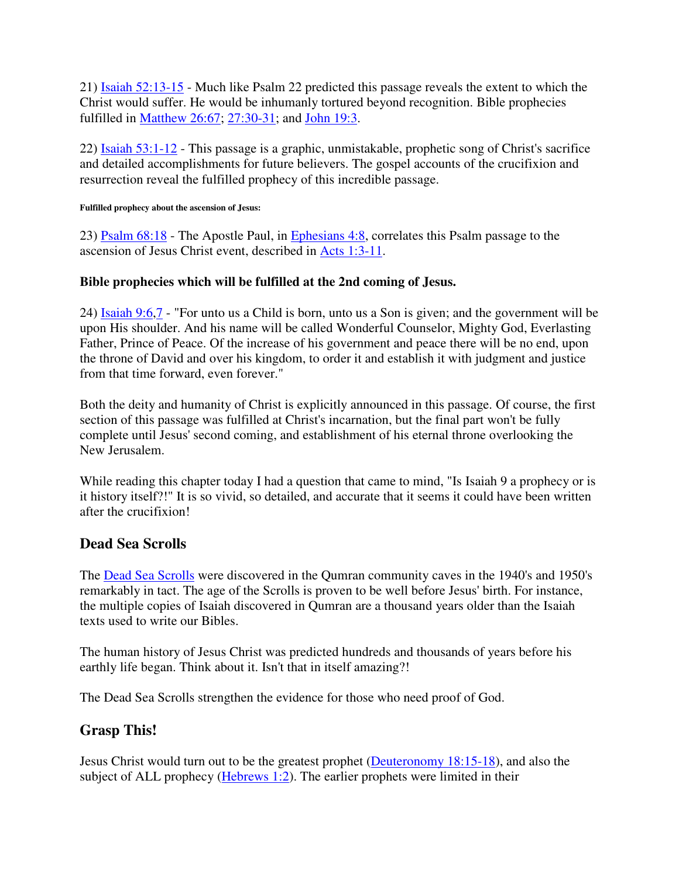21) Isaiah 52:13-15 - Much like Psalm 22 predicted this passage reveals the extent to which the Christ would suffer. He would be inhumanly tortured beyond recognition. Bible prophecies fulfilled in Matthew 26:67; 27:30-31; and John 19:3.

22) Isaiah 53:1-12 - This passage is a graphic, unmistakable, prophetic song of Christ's sacrifice and detailed accomplishments for future believers. The gospel accounts of the crucifixion and resurrection reveal the fulfilled prophecy of this incredible passage.

#### **Fulfilled prophecy about the ascension of Jesus:**

23) Psalm 68:18 - The Apostle Paul, in Ephesians 4:8, correlates this Psalm passage to the ascension of Jesus Christ event, described in Acts 1:3-11.

## **Bible prophecies which will be fulfilled at the 2nd coming of Jesus.**

24) Isaiah 9:6,7 - "For unto us a Child is born, unto us a Son is given; and the government will be upon His shoulder. And his name will be called Wonderful Counselor, Mighty God, Everlasting Father, Prince of Peace. Of the increase of his government and peace there will be no end, upon the throne of David and over his kingdom, to order it and establish it with judgment and justice from that time forward, even forever."

Both the deity and humanity of Christ is explicitly announced in this passage. Of course, the first section of this passage was fulfilled at Christ's incarnation, but the final part won't be fully complete until Jesus' second coming, and establishment of his eternal throne overlooking the New Jerusalem.

While reading this chapter today I had a question that came to mind, "Is Isaiah 9 a prophecy or is it history itself?!" It is so vivid, so detailed, and accurate that it seems it could have been written after the crucifixion!

# **Dead Sea Scrolls**

The Dead Sea Scrolls were discovered in the Qumran community caves in the 1940's and 1950's remarkably in tact. The age of the Scrolls is proven to be well before Jesus' birth. For instance, the multiple copies of Isaiah discovered in Qumran are a thousand years older than the Isaiah texts used to write our Bibles.

The human history of Jesus Christ was predicted hundreds and thousands of years before his earthly life began. Think about it. Isn't that in itself amazing?!

The Dead Sea Scrolls strengthen the evidence for those who need proof of God.

# **Grasp This!**

Jesus Christ would turn out to be the greatest prophet (Deuteronomy 18:15-18), and also the subject of ALL prophecy (Hebrews 1:2). The earlier prophets were limited in their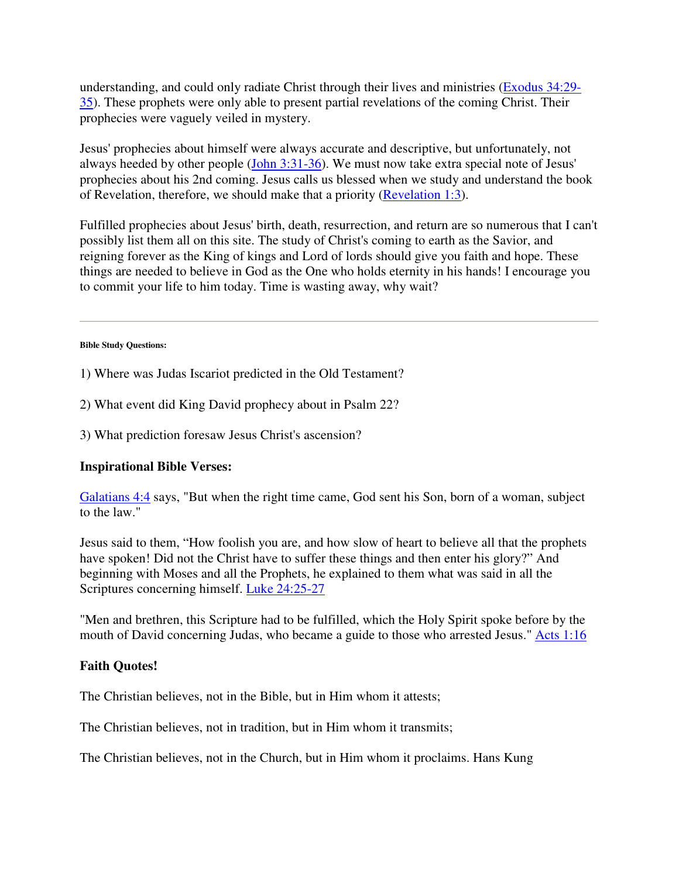understanding, and could only radiate Christ through their lives and ministries (Exodus 34:29- 35). These prophets were only able to present partial revelations of the coming Christ. Their prophecies were vaguely veiled in mystery.

Jesus' prophecies about himself were always accurate and descriptive, but unfortunately, not always heeded by other people (John 3:31-36). We must now take extra special note of Jesus' prophecies about his 2nd coming. Jesus calls us blessed when we study and understand the book of Revelation, therefore, we should make that a priority (Revelation 1:3).

Fulfilled prophecies about Jesus' birth, death, resurrection, and return are so numerous that I can't possibly list them all on this site. The study of Christ's coming to earth as the Savior, and reigning forever as the King of kings and Lord of lords should give you faith and hope. These things are needed to believe in God as the One who holds eternity in his hands! I encourage you to commit your life to him today. Time is wasting away, why wait?

#### **Bible Study Questions:**

1) Where was Judas Iscariot predicted in the Old Testament?

- 2) What event did King David prophecy about in Psalm 22?
- 3) What prediction foresaw Jesus Christ's ascension?

### **Inspirational Bible Verses:**

Galatians 4:4 says, "But when the right time came, God sent his Son, born of a woman, subject to the law."

Jesus said to them, "How foolish you are, and how slow of heart to believe all that the prophets have spoken! Did not the Christ have to suffer these things and then enter his glory?" And beginning with Moses and all the Prophets, he explained to them what was said in all the Scriptures concerning himself. Luke 24:25-27

"Men and brethren, this Scripture had to be fulfilled, which the Holy Spirit spoke before by the mouth of David concerning Judas, who became a guide to those who arrested Jesus." Acts 1:16

### **Faith Quotes!**

The Christian believes, not in the Bible, but in Him whom it attests;

The Christian believes, not in tradition, but in Him whom it transmits;

The Christian believes, not in the Church, but in Him whom it proclaims. Hans Kung